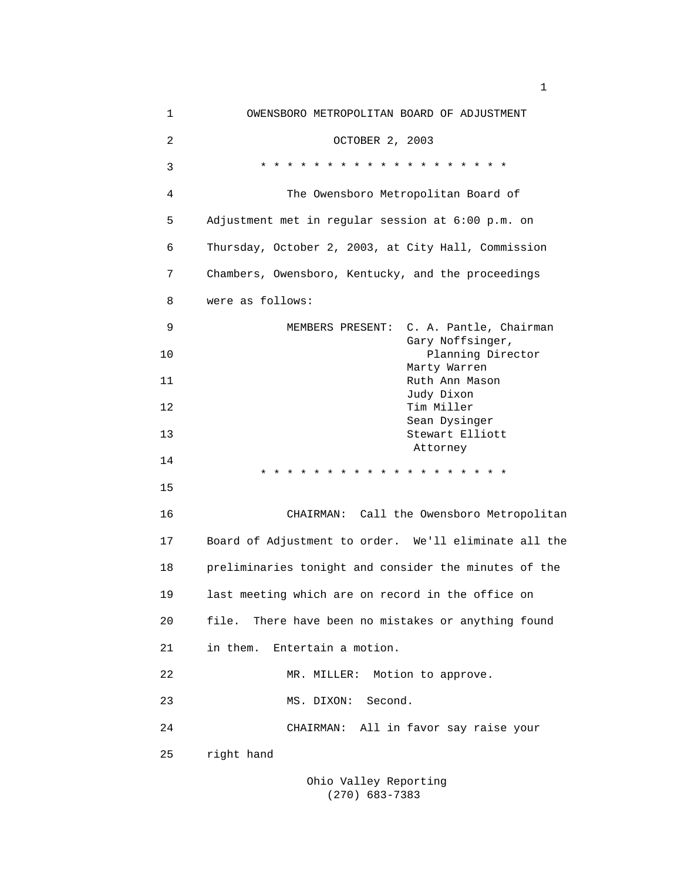| $\mathbf 1$    | OWENSBORO METROPOLITAN BOARD OF ADJUSTMENT            |
|----------------|-------------------------------------------------------|
| $\overline{c}$ | OCTOBER 2, 2003                                       |
| 3              | * * * * * * * * * * * * * * * * * * *                 |
| 4              | The Owensboro Metropolitan Board of                   |
| 5              | Adjustment met in regular session at 6:00 p.m. on     |
| 6              | Thursday, October 2, 2003, at City Hall, Commission   |
| 7              | Chambers, Owensboro, Kentucky, and the proceedings    |
| 8              | were as follows:                                      |
| 9              | MEMBERS PRESENT: C. A. Pantle, Chairman               |
| 10             | Gary Noffsinger,<br>Planning Director                 |
| 11             | Marty Warren<br>Ruth Ann Mason                        |
| 12             | Judy Dixon<br>Tim Miller                              |
| 13             | Sean Dysinger<br>Stewart Elliott                      |
| 14             | Attorney<br>* * * * * * * * * * *                     |
| 15             |                                                       |
| 16             | CHAIRMAN: Call the Owensboro Metropolitan             |
| 17             | Board of Adjustment to order. We'll eliminate all the |
| 18             | preliminaries tonight and consider the minutes of the |
| 19             | last meeting which are on record in the office on     |
| 20             | file. There have been no mistakes or anything found   |
| 21             | in them. Entertain a motion.                          |
| 22             | MR. MILLER: Motion to approve.                        |
| 23             | Second.<br>MS. DIXON:                                 |
| 24             | CHAIRMAN: All in favor say raise your                 |
| 25             | right hand                                            |
|                |                                                       |

 Ohio Valley Reporting (270) 683-7383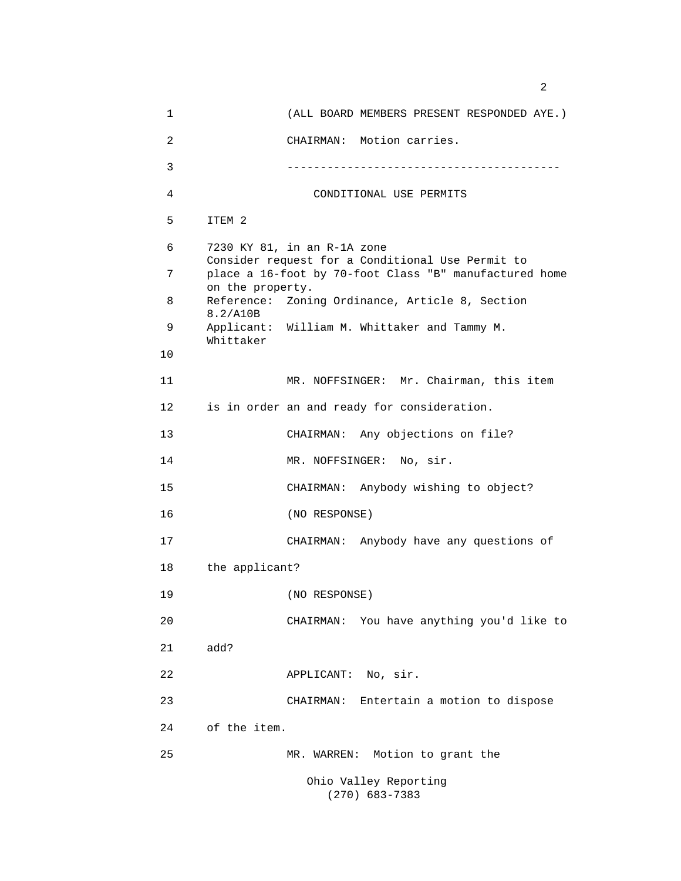1 (ALL BOARD MEMBERS PRESENT RESPONDED AYE.) 2 CHAIRMAN: Motion carries. 3 ----------------------------------------- 4 CONDITIONAL USE PERMITS 5 ITEM 2 6 7230 KY 81, in an R-1A zone Consider request for a Conditional Use Permit to 7 place a 16-foot by 70-foot Class "B" manufactured home on the property. 8 Reference: Zoning Ordinance, Article 8, Section 8.2/A10B 9 Applicant: William M. Whittaker and Tammy M. Whittaker 10 11 MR. NOFFSINGER: Mr. Chairman, this item 12 is in order an and ready for consideration. 13 CHAIRMAN: Any objections on file? 14 MR. NOFFSINGER: No, sir. 15 CHAIRMAN: Anybody wishing to object? 16 (NO RESPONSE) 17 CHAIRMAN: Anybody have any questions of 18 the applicant? 19 (NO RESPONSE) 20 CHAIRMAN: You have anything you'd like to 21 add? 22 APPLICANT: No, sir. 23 CHAIRMAN: Entertain a motion to dispose 24 of the item. 25 MR. WARREN: Motion to grant the Ohio Valley Reporting (270) 683-7383

 $\sim$  2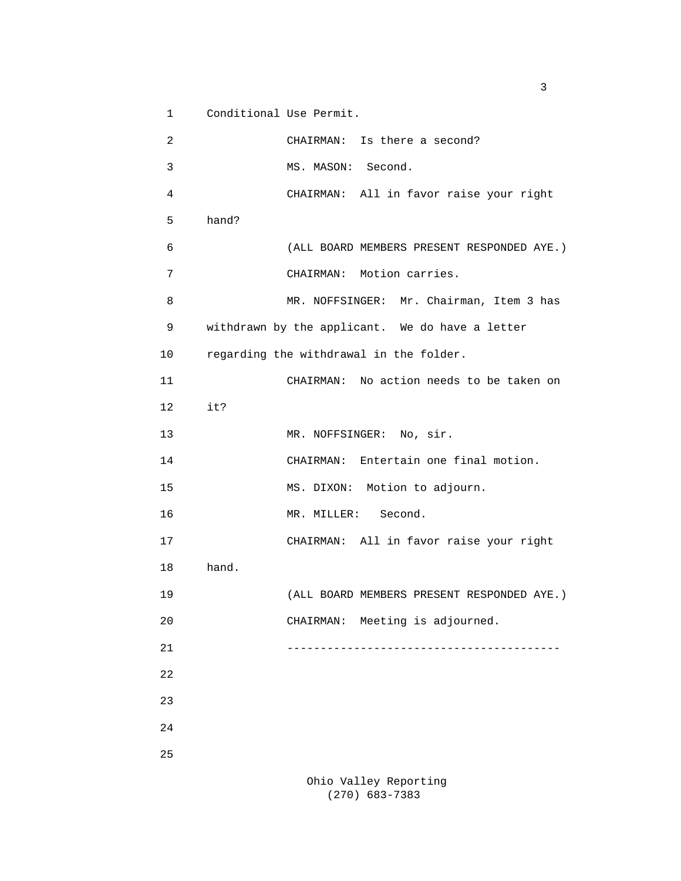1 Conditional Use Permit.

 2 CHAIRMAN: Is there a second? 3 MS. MASON: Second. 4 CHAIRMAN: All in favor raise your right 5 hand? 6 (ALL BOARD MEMBERS PRESENT RESPONDED AYE.) 7 CHAIRMAN: Motion carries. 8 MR. NOFFSINGER: Mr. Chairman, Item 3 has 9 withdrawn by the applicant. We do have a letter 10 regarding the withdrawal in the folder. 11 CHAIRMAN: No action needs to be taken on 12 it? 13 MR. NOFFSINGER: No, sir. 14 CHAIRMAN: Entertain one final motion. 15 MS. DIXON: Motion to adjourn. 16 MR. MILLER: Second. 17 CHAIRMAN: All in favor raise your right 18 hand. 19 (ALL BOARD MEMBERS PRESENT RESPONDED AYE.) 20 CHAIRMAN: Meeting is adjourned. 21 ----------------------------------------- 22 23 24 25

 Ohio Valley Reporting (270) 683-7383

 $\sim$  3